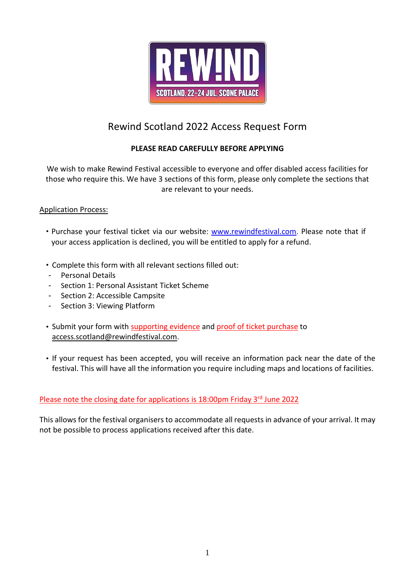

# Rewind Scotland 2022 Access Request Form

# **PLEASE READ CAREFULLY BEFORE APPLYING**

We wish to make Rewind Festival accessible to everyone and offer disabled access facilities for those who require this. We have 3 sections of this form, please only complete the sections that are relevant to your needs.

#### Application Process:

- Purchase your festival ticket via our website: [www.rewindfestival.com.](http://www.rewindfestival.com/) Please note that if your access application is declined, you will be entitled to apply for a refund.
- Complete this form with all relevant sections filled out:
- Personal Details
- Section 1: Personal Assistant Ticket Scheme
- Section 2: Accessible Campsite
- Section 3: Viewing Platform
- Submit your form with supporting evidence and proof of ticket purchase to [access.scotland@rewindfestival.com.](mailto:access.scotland@rewindfestival.com)
- If your request has been accepted, you will receive an information pack near the date of the festival. This will have all the information you require including maps and locations of facilities.

## Please note the closing date for applications is 18:00pm Friday 3<sup>rd</sup> June 2022

This allows for the festival organisers to accommodate all requests in advance of your arrival. It may not be possible to process applications received after this date.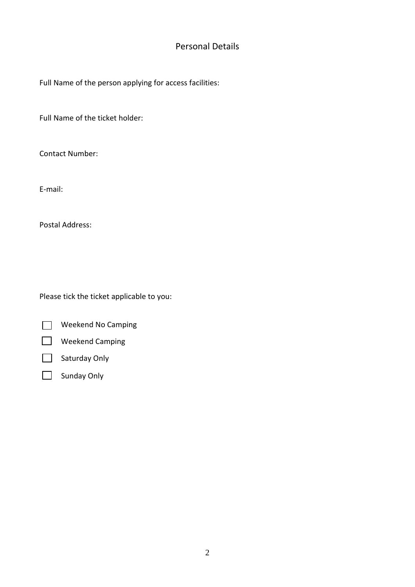# Personal Details

Full Name of the person applying for access facilities:

Full Name of the ticket holder:

Contact Number:

E-mail:

Postal Address:

Please tick the ticket applicable to you:



Weekend No Camping



Saturday Only

 $\Box$  Sunday Only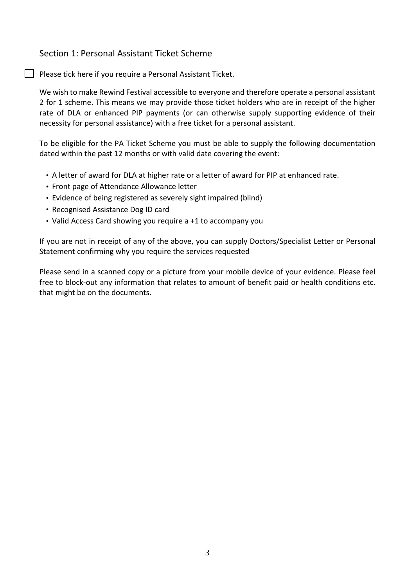# Section 1: Personal Assistant Ticket Scheme

 $\Box$  Please tick here if you require a Personal Assistant Ticket.

We wish to make Rewind Festival accessible to everyone and therefore operate a personal assistant 2 for 1 scheme. This means we may provide those ticket holders who are in receipt of the higher rate of DLA or enhanced PIP payments (or can otherwise supply supporting evidence of their necessity for personal assistance) with a free ticket for a personal assistant.

To be eligible for the PA Ticket Scheme you must be able to supply the following documentation dated within the past 12 months or with valid date covering the event:

- A letter of award for DLA at higher rate or a letter of award for PIP at enhanced rate.
- Front page of Attendance Allowance letter
- Evidence of being registered as severely sight impaired (blind)
- Recognised Assistance Dog ID card
- Valid Access Card showing you require a +1 to accompany you

If you are not in receipt of any of the above, you can supply Doctors/Specialist Letter or Personal Statement confirming why you require the services requested

Please send in a scanned copy or a picture from your mobile device of your evidence. Please feel free to block-out any information that relates to amount of benefit paid or health conditions etc. that might be on the documents.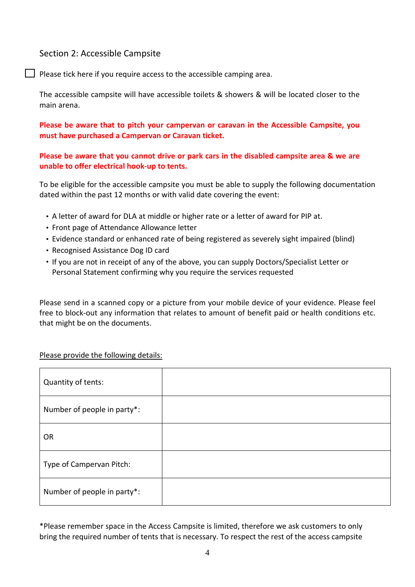# Section 2: Accessible Campsite

 $\Box$  Please tick here if you require access to the accessible camping area.

The accessible campsite will have accessible toilets & showers & will be located closer to the main arena.

**Please be aware that to pitch your campervan or caravan in the Accessible Campsite, you must have purchased a Campervan or Caravan ticket.**

**Please be aware that you cannot drive or park cars in the disabled campsite area & we are unable to offer electrical hook-up to tents.**

To be eligible for the accessible campsite you must be able to supply the following documentation dated within the past 12 months or with valid date covering the event:

- A letter of award for DLA at middle or higher rate or a letter of award for PIP at.
- Front page of Attendance Allowance letter
- Evidence standard or enhanced rate of being registered as severely sight impaired (blind)
- Recognised Assistance Dog ID card
- If you are not in receipt of any of the above, you can supply Doctors/Specialist Letter or Personal Statement confirming why you require the services requested

Please send in a scanned copy or a picture from your mobile device of your evidence. Please feel free to block-out any information that relates to amount of benefit paid or health conditions etc. that might be on the documents.

#### Please provide the following details:

| Quantity of tents:          |  |
|-----------------------------|--|
| Number of people in party*: |  |
| <b>OR</b>                   |  |
| Type of Campervan Pitch:    |  |
| Number of people in party*: |  |

\*Please remember space in the Access Campsite is limited, therefore we ask customers to only bring the required number of tents that is necessary. To respect the rest of the access campsite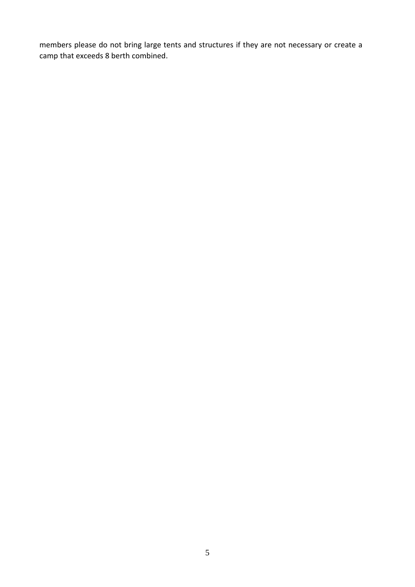members please do not bring large tents and structures if they are not necessary or create a camp that exceeds 8 berth combined.